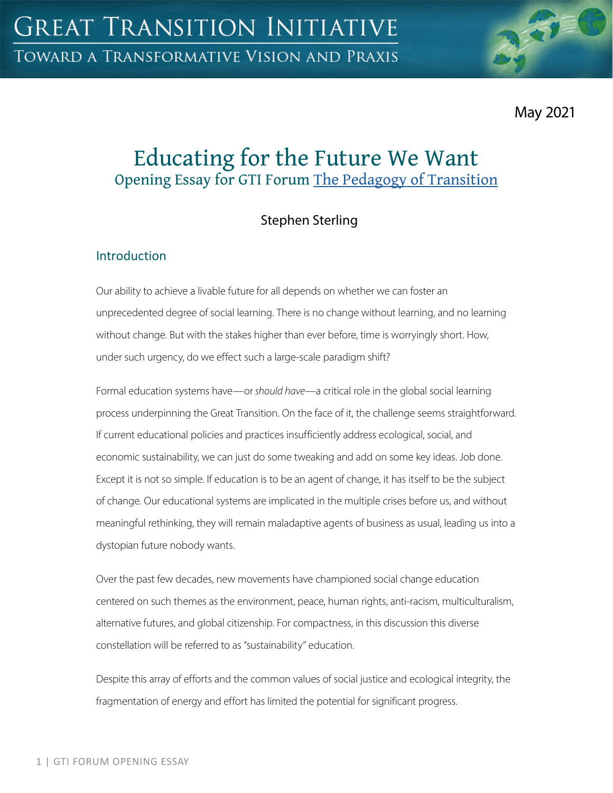

May 2021

# Educating for the Future We Want Opening Essay for GTI Forum [The Pedagogy of Transition](https://greattransition.org/gti-forum/pedagogy-transition)

## Stephen Sterling

## **Introduction**

Our ability to achieve a livable future for all depends on whether we can foster an unprecedented degree of social learning. There is no change without learning, and no learning without change. But with the stakes higher than ever before, time is worryingly short. How, under such urgency, do we effect such a large-scale paradigm shift?

Formal education systems have—or *should have*—a critical role in the global social learning process underpinning the Great Transition. On the face of it, the challenge seems straightforward. If current educational policies and practices insufficiently address ecological, social, and economic sustainability, we can just do some tweaking and add on some key ideas. Job done. Except it is not so simple. If education is to be an agent of change, it has itself to be the subject of change. Our educational systems are implicated in the multiple crises before us, and without meaningful rethinking, they will remain maladaptive agents of business as usual, leading us into a dystopian future nobody wants.

Over the past few decades, new movements have championed social change education centered on such themes as the environment, peace, human rights, anti-racism, multiculturalism, alternative futures, and global citizenship. For compactness, in this discussion this diverse constellation will be referred to as "sustainability" education.

Despite this array of efforts and the common values of social justice and ecological integrity, the fragmentation of energy and effort has limited the potential for significant progress.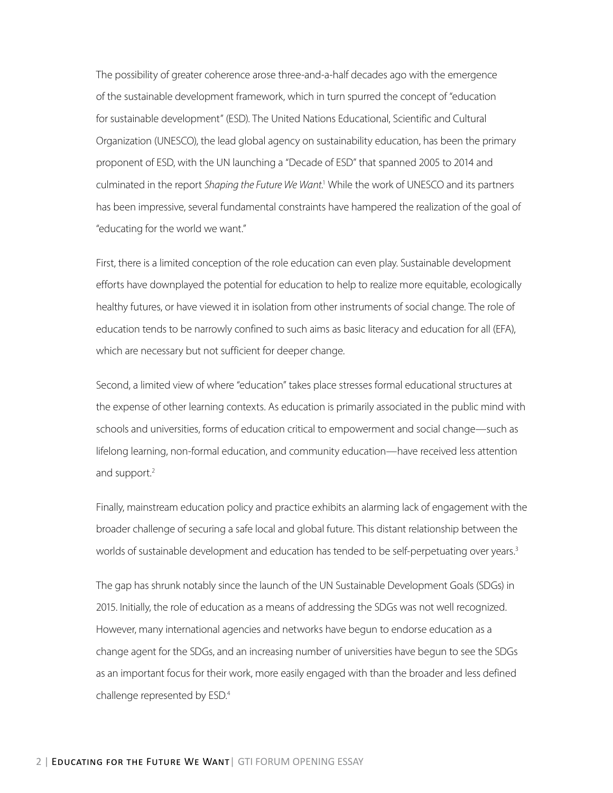The possibility of greater coherence arose three-and-a-half decades ago with the emergence of the sustainable development framework, which in turn spurred the concept of "education for sustainable development" (ESD). The United Nations Educational, Scientific and Cultural Organization (UNESCO), the lead global agency on sustainability education, has been the primary proponent of ESD, with the UN launching a "Decade of ESD" that spanned 2005 to 2014 and culminated in the report Shaping the Future We Want.<sup>1</sup> While the work of UNESCO and its partners has been impressive, several fundamental constraints have hampered the realization of the goal of "educating for the world we want."

First, there is a limited conception of the role education can even play. Sustainable development efforts have downplayed the potential for education to help to realize more equitable, ecologically healthy futures, or have viewed it in isolation from other instruments of social change. The role of education tends to be narrowly confined to such aims as basic literacy and education for all (EFA), which are necessary but not sufficient for deeper change.

Second, a limited view of where "education" takes place stresses formal educational structures at the expense of other learning contexts. As education is primarily associated in the public mind with schools and universities, forms of education critical to empowerment and social change—such as lifelong learning, non-formal education, and community education—have received less attention and support.<sup>2</sup>

Finally, mainstream education policy and practice exhibits an alarming lack of engagement with the broader challenge of securing a safe local and global future. This distant relationship between the worlds of sustainable development and education has tended to be self-perpetuating over years.<sup>3</sup>

The gap has shrunk notably since the launch of the UN Sustainable Development Goals (SDGs) in 2015. Initially, the role of education as a means of addressing the SDGs was not well recognized. However, many international agencies and networks have begun to endorse education as a change agent for the SDGs, and an increasing number of universities have begun to see the SDGs as an important focus for their work, more easily engaged with than the broader and less defined challenge represented by ESD.4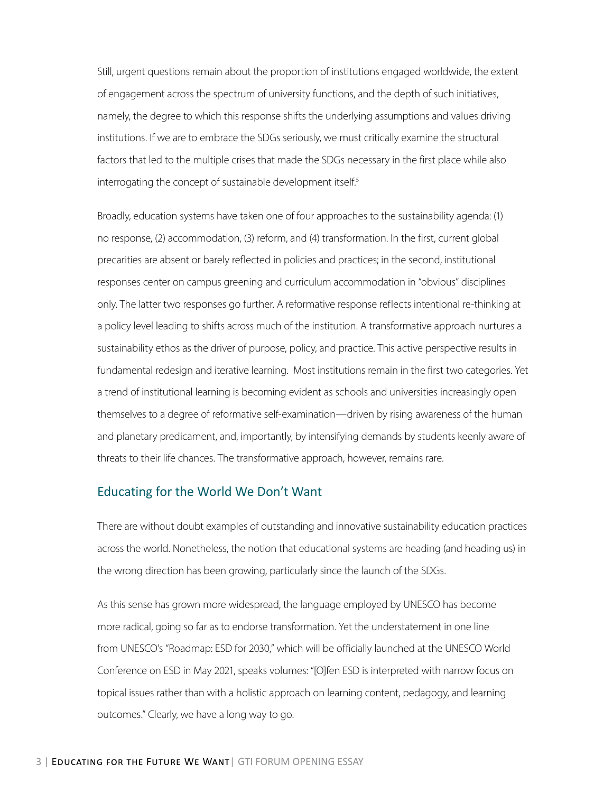Still, urgent questions remain about the proportion of institutions engaged worldwide, the extent of engagement across the spectrum of university functions, and the depth of such initiatives, namely, the degree to which this response shifts the underlying assumptions and values driving institutions. If we are to embrace the SDGs seriously, we must critically examine the structural factors that led to the multiple crises that made the SDGs necessary in the first place while also interrogating the concept of sustainable development itself.<sup>5</sup>

Broadly, education systems have taken one of four approaches to the sustainability agenda: (1) no response, (2) accommodation, (3) reform, and (4) transformation. In the first, current global precarities are absent or barely reflected in policies and practices; in the second, institutional responses center on campus greening and curriculum accommodation in "obvious" disciplines only. The latter two responses go further. A reformative response reflects intentional re-thinking at a policy level leading to shifts across much of the institution. A transformative approach nurtures a sustainability ethos as the driver of purpose, policy, and practice. This active perspective results in fundamental redesign and iterative learning. Most institutions remain in the first two categories. Yet a trend of institutional learning is becoming evident as schools and universities increasingly open themselves to a degree of reformative self-examination—driven by rising awareness of the human and planetary predicament, and, importantly, by intensifying demands by students keenly aware of threats to their life chances. The transformative approach, however, remains rare.

#### Educating for the World We Don't Want

There are without doubt examples of outstanding and innovative sustainability education practices across the world. Nonetheless, the notion that educational systems are heading (and heading us) in the wrong direction has been growing, particularly since the launch of the SDGs.

As this sense has grown more widespread, the language employed by UNESCO has become more radical, going so far as to endorse transformation. Yet the understatement in one line from UNESCO's "Roadmap: ESD for 2030," which will be officially launched at the UNESCO World Conference on ESD in May 2021, speaks volumes: "[O]fen ESD is interpreted with narrow focus on topical issues rather than with a holistic approach on learning content, pedagogy, and learning outcomes." Clearly, we have a long way to go.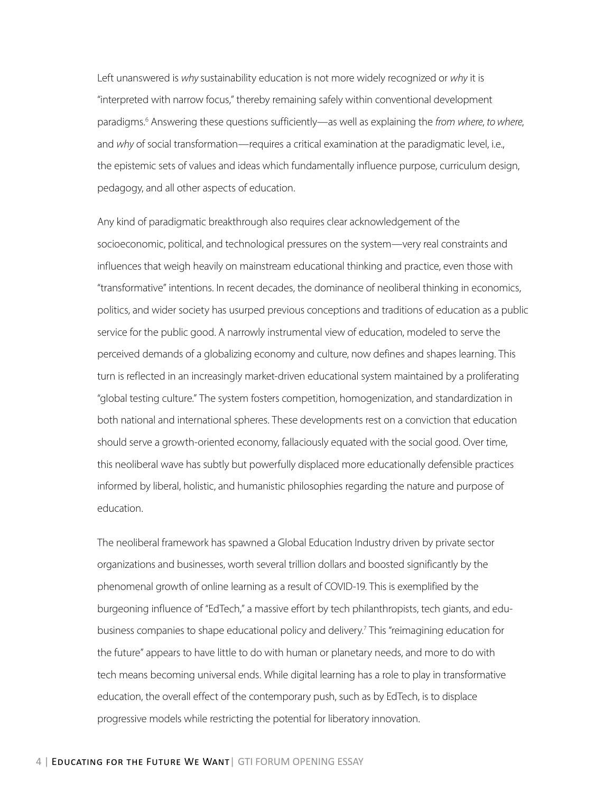Left unanswered is *why* sustainability education is not more widely recognized or *why* it is "interpreted with narrow focus," thereby remaining safely within conventional development paradigms.6 Answering these questions sufficiently—as well as explaining the *from where*, *to where*, and *why* of social transformation—requires a critical examination at the paradigmatic level, i.e., the epistemic sets of values and ideas which fundamentally influence purpose, curriculum design, pedagogy, and all other aspects of education.

Any kind of paradigmatic breakthrough also requires clear acknowledgement of the socioeconomic, political, and technological pressures on the system—very real constraints and influences that weigh heavily on mainstream educational thinking and practice, even those with "transformative" intentions. In recent decades, the dominance of neoliberal thinking in economics, politics, and wider society has usurped previous conceptions and traditions of education as a public service for the public good. A narrowly instrumental view of education, modeled to serve the perceived demands of a globalizing economy and culture, now defines and shapes learning. This turn is reflected in an increasingly market-driven educational system maintained by a proliferating "global testing culture." The system fosters competition, homogenization, and standardization in both national and international spheres. These developments rest on a conviction that education should serve a growth-oriented economy, fallaciously equated with the social good. Over time, this neoliberal wave has subtly but powerfully displaced more educationally defensible practices informed by liberal, holistic, and humanistic philosophies regarding the nature and purpose of education.

The neoliberal framework has spawned a Global Education Industry driven by private sector organizations and businesses, worth several trillion dollars and boosted significantly by the phenomenal growth of online learning as a result of COVID-19. This is exemplified by the burgeoning influence of "EdTech," a massive effort by tech philanthropists, tech giants, and edubusiness companies to shape educational policy and delivery.7 This "reimagining education for the future" appears to have little to do with human or planetary needs, and more to do with tech means becoming universal ends. While digital learning has a role to play in transformative education, the overall effect of the contemporary push, such as by EdTech, is to displace progressive models while restricting the potential for liberatory innovation.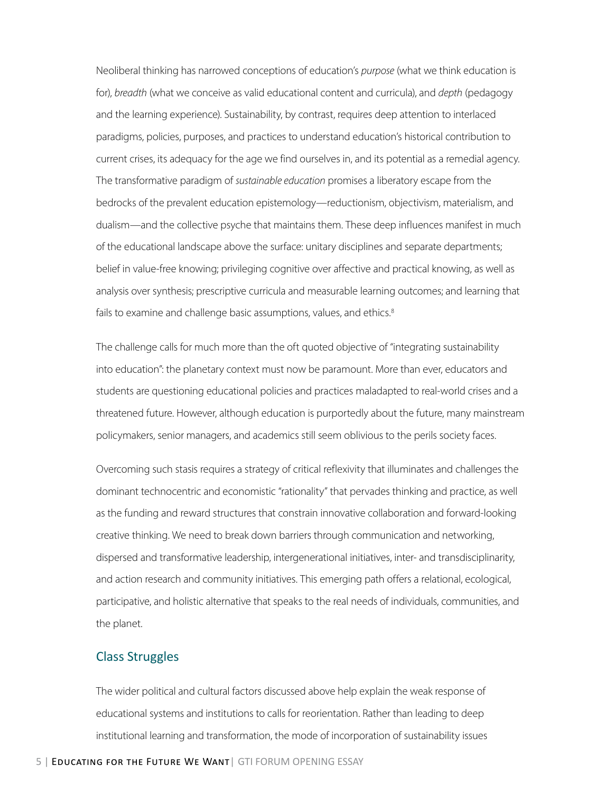Neoliberal thinking has narrowed conceptions of education's *purpose* (what we think education is for), *breadth* (what we conceive as valid educational content and curricula), and *depth* (pedagogy and the learning experience). Sustainability, by contrast, requires deep attention to interlaced paradigms, policies, purposes, and practices to understand education's historical contribution to current crises, its adequacy for the age we find ourselves in, and its potential as a remedial agency. The transformative paradigm of *sustainable education* promises a liberatory escape from the bedrocks of the prevalent education epistemology—reductionism, objectivism, materialism, and dualism—and the collective psyche that maintains them. These deep influences manifest in much of the educational landscape above the surface: unitary disciplines and separate departments; belief in value-free knowing; privileging cognitive over affective and practical knowing, as well as analysis over synthesis; prescriptive curricula and measurable learning outcomes; and learning that fails to examine and challenge basic assumptions, values, and ethics.<sup>8</sup>

The challenge calls for much more than the oft quoted objective of "integrating sustainability into education": the planetary context must now be paramount. More than ever, educators and students are questioning educational policies and practices maladapted to real-world crises and a threatened future. However, although education is purportedly about the future, many mainstream policymakers, senior managers, and academics still seem oblivious to the perils society faces.

Overcoming such stasis requires a strategy of critical reflexivity that illuminates and challenges the dominant technocentric and economistic "rationality" that pervades thinking and practice, as well as the funding and reward structures that constrain innovative collaboration and forward-looking creative thinking. We need to break down barriers through communication and networking, dispersed and transformative leadership, intergenerational initiatives, inter- and transdisciplinarity, and action research and community initiatives. This emerging path offers a relational, ecological, participative, and holistic alternative that speaks to the real needs of individuals, communities, and the planet.

#### Class Struggles

The wider political and cultural factors discussed above help explain the weak response of educational systems and institutions to calls for reorientation. Rather than leading to deep institutional learning and transformation, the mode of incorporation of sustainability issues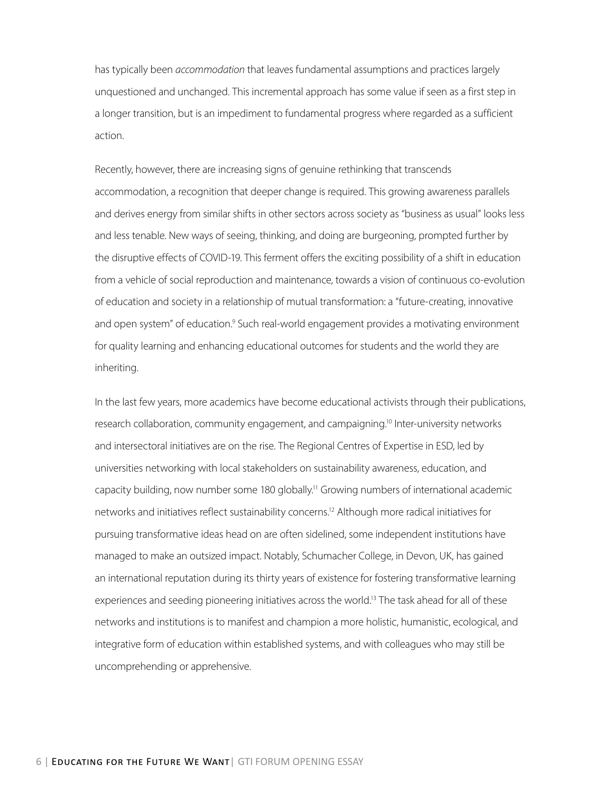has typically been *accommodation* that leaves fundamental assumptions and practices largely unquestioned and unchanged. This incremental approach has some value if seen as a first step in a longer transition, but is an impediment to fundamental progress where regarded as a sufficient action.

Recently, however, there are increasing signs of genuine rethinking that transcends accommodation, a recognition that deeper change is required. This growing awareness parallels and derives energy from similar shifts in other sectors across society as "business as usual" looks less and less tenable. New ways of seeing, thinking, and doing are burgeoning, prompted further by the disruptive effects of COVID-19. This ferment offers the exciting possibility of a shift in education from a vehicle of social reproduction and maintenance, towards a vision of continuous co-evolution of education and society in a relationship of mutual transformation: a "future-creating, innovative and open system" of education.<sup>9</sup> Such real-world engagement provides a motivating environment for quality learning and enhancing educational outcomes for students and the world they are inheriting.

In the last few years, more academics have become educational activists through their publications, research collaboration, community engagement, and campaigning.<sup>10</sup> Inter-university networks and intersectoral initiatives are on the rise. The Regional Centres of Expertise in ESD, led by universities networking with local stakeholders on sustainability awareness, education, and capacity building, now number some 180 globally.<sup>11</sup> Growing numbers of international academic networks and initiatives reflect sustainability concerns.12 Although more radical initiatives for pursuing transformative ideas head on are often sidelined, some independent institutions have managed to make an outsized impact. Notably, Schumacher College, in Devon, UK, has gained an international reputation during its thirty years of existence for fostering transformative learning experiences and seeding pioneering initiatives across the world.<sup>13</sup> The task ahead for all of these networks and institutions is to manifest and champion a more holistic, humanistic, ecological, and integrative form of education within established systems, and with colleagues who may still be uncomprehending or apprehensive.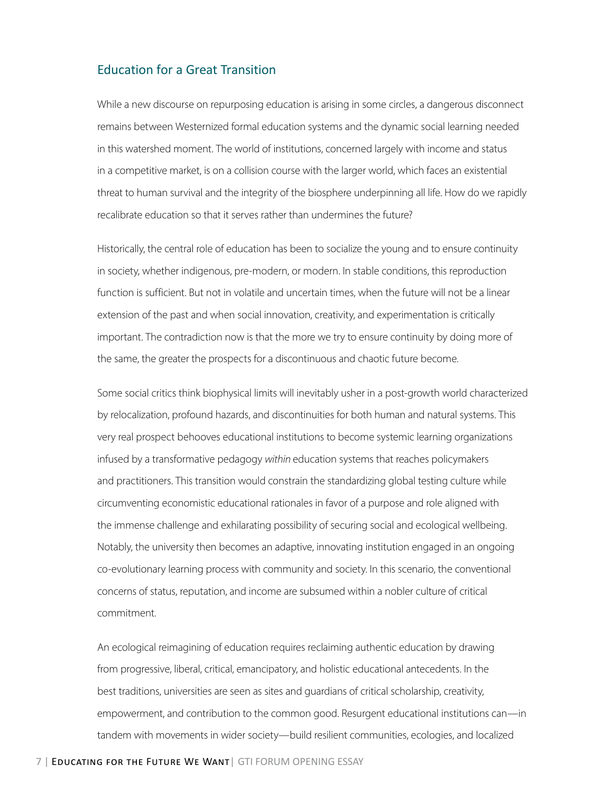#### Education for a Great Transition

While a new discourse on repurposing education is arising in some circles, a dangerous disconnect remains between Westernized formal education systems and the dynamic social learning needed in this watershed moment. The world of institutions, concerned largely with income and status in a competitive market, is on a collision course with the larger world, which faces an existential threat to human survival and the integrity of the biosphere underpinning all life. How do we rapidly recalibrate education so that it serves rather than undermines the future?

Historically, the central role of education has been to socialize the young and to ensure continuity in society, whether indigenous, pre-modern, or modern. In stable conditions, this reproduction function is sufficient. But not in volatile and uncertain times, when the future will not be a linear extension of the past and when social innovation, creativity, and experimentation is critically important. The contradiction now is that the more we try to ensure continuity by doing more of the same, the greater the prospects for a discontinuous and chaotic future become.

Some social critics think biophysical limits will inevitably usher in a post-growth world characterized by relocalization, profound hazards, and discontinuities for both human and natural systems. This very real prospect behooves educational institutions to become systemic learning organizations infused by a transformative pedagogy *within* education systems that reaches policymakers and practitioners. This transition would constrain the standardizing global testing culture while circumventing economistic educational rationales in favor of a purpose and role aligned with the immense challenge and exhilarating possibility of securing social and ecological wellbeing. Notably, the university then becomes an adaptive, innovating institution engaged in an ongoing co-evolutionary learning process with community and society. In this scenario, the conventional concerns of status, reputation, and income are subsumed within a nobler culture of critical commitment.

An ecological reimagining of education requires reclaiming authentic education by drawing from progressive, liberal, critical, emancipatory, and holistic educational antecedents. In the best traditions, universities are seen as sites and guardians of critical scholarship, creativity, empowerment, and contribution to the common good. Resurgent educational institutions can—in tandem with movements in wider society—build resilient communities, ecologies, and localized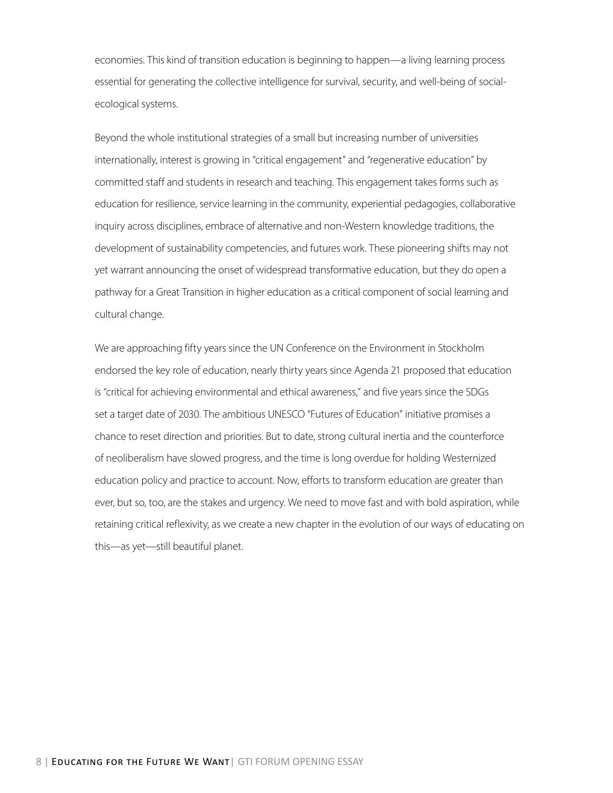economies. This kind of transition education is beginning to happen—a living learning process essential for generating the collective intelligence for survival, security, and well-being of socialecological systems.

Beyond the whole institutional strategies of a small but increasing number of universities internationally, interest is growing in "critical engagement" and "regenerative education" by committed staff and students in research and teaching. This engagement takes forms such as education for resilience, service learning in the community, experiential pedagogies, collaborative inquiry across disciplines, embrace of alternative and non-Western knowledge traditions, the development of sustainability competencies, and futures work. These pioneering shifts may not yet warrant announcing the onset of widespread transformative education, but they do open a pathway for a Great Transition in higher education as a critical component of social learning and cultural change.

We are approaching fifty years since the UN Conference on the Environment in Stockholm endorsed the key role of education, nearly thirty years since Agenda 21 proposed that education is "critical for achieving environmental and ethical awareness," and five years since the SDGs set a target date of 2030. The ambitious UNESCO "Futures of Education" initiative promises a chance to reset direction and priorities. But to date, strong cultural inertia and the counterforce of neoliberalism have slowed progress, and the time is long overdue for holding Westernized education policy and practice to account. Now, efforts to transform education are greater than ever, but so, too, are the stakes and urgency. We need to move fast and with bold aspiration, while retaining critical reflexivity, as we create a new chapter in the evolution of our ways of educating on this—as yet—still beautiful planet.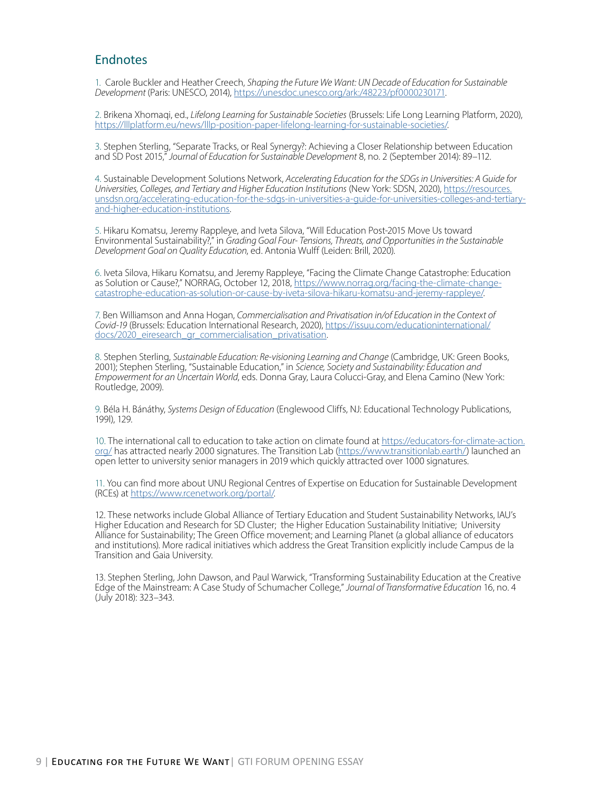### Endnotes

1. Carole Buckler and Heather Creech, *Shaping the Future We Want: UN Decade of Education for Sustainable Development* (Paris: UNESCO, 2014), [https://unesdoc.unesco.org/ark:/48223/pf0000230171.](https://unesdoc.unesco.org/ark:/48223/pf0000230171)

2. Brikena Xhomaqi, ed., *Lifelong Learning for Sustainable Societies* (Brussels: Life Long Learning Platform, 2020), [https://lllplatform.eu/news/lllp-position-paper-lifelong-learning-for-sustainable-societies/.](http://lllplatform.eu/news/lllp-position-paper-lifelong-learning-for-sustainable-societies/)

3. Stephen Sterling, "Separate Tracks, or Real Synergy?: Achieving a Closer Relationship between Education and SD Post 2015," *Journal of Education for Sustainable Development* 8, no. 2 (September 2014): 89–112.

4. Sustainable Development Solutions Network, *Accelerating Education for the SDGs in Universities: A Guide for Universities, Colleges, and Tertiary and Higher Education Institutions* (New York: SDSN, 2020), [https://resources.](https://resources.unsdsn.org/accelerating-education-for-the-sdgs-in-universities-a-guide-for-universities-colleges-and-tertiary-and-higher-education-institutions) [unsdsn.org/accelerating-education-for-the-sdgs-in-universities-a-guide-for-universities-colleges-and-tertiary](https://resources.unsdsn.org/accelerating-education-for-the-sdgs-in-universities-a-guide-for-universities-colleges-and-tertiary-and-higher-education-institutions)[and-higher-education-institutions](https://resources.unsdsn.org/accelerating-education-for-the-sdgs-in-universities-a-guide-for-universities-colleges-and-tertiary-and-higher-education-institutions).

5. Hikaru Komatsu, Jeremy Rappleye, and Iveta Silova, "Will Education Post-2015 Move Us toward Environmental Sustainability?," in *Grading Goal Four- Tensions, Threats, and Opportunities in the Sustainable Development Goal on Quality Education*, ed. Antonia Wulff (Leiden: Brill, 2020).

6. Iveta Silova, Hikaru Komatsu, and Jeremy Rappleye, "Facing the Climate Change Catastrophe: Education as Solution or Cause?," NORRAG, October 12, 2018, [https://www.norrag.org/facing-the-climate-change](https://www.norrag.org/facing-the-climate-change-catastrophe-education-as-solution-or-cause-by-iveta-silova-hikaru-komatsu-and-jeremy-rappleye/)[catastrophe-education-as-solution-or-cause-by-iveta-silova-hikaru-komatsu-and-jeremy-rappleye/.](https://www.norrag.org/facing-the-climate-change-catastrophe-education-as-solution-or-cause-by-iveta-silova-hikaru-komatsu-and-jeremy-rappleye/)

7. Ben Williamson and Anna Hogan, *Commercialisation and Privatisation in/of Education in the Context of Covid-19* (Brussels: Education International Research, 2020), [https://issuu.com/educationinternational/](https://issuu.com/educationinternational/docs/2020_eiresearch_gr_commercialisation_privatisation) [docs/2020\\_eiresearch\\_gr\\_commercialisation\\_privatisation](https://issuu.com/educationinternational/docs/2020_eiresearch_gr_commercialisation_privatisation).

8. Stephen Sterling, *Sustainable Education: Re-visioning Learning and Change* (Cambridge, UK: Green Books, 2001); Stephen Sterling, "Sustainable Education," in *Science, Society and Sustainability: Education and Empowerment for an Uncertain World*, eds. Donna Gray, Laura Colucci-Gray, and Elena Camino (New York: Routledge, 2009).

9. Béla H. Bánáthy, *Systems Design of Education* (Englewood Cliffs, NJ: Educational Technology Publications, 199l), 129.

10. The international call to education to take action on climate found at [https://educators-for-climate-action.](https://educators-for-climate-action.org/) [org/](https://educators-for-climate-action.org/) has attracted nearly 2000 signatures. The Transition Lab [\(https://www.transitionlab.earth/](https://www.transitionlab.earth/)) launched an open letter to university senior managers in 2019 which quickly attracted over 1000 signatures.

11. You can find more about UNU Regional Centres of Expertise on Education for Sustainable Development (RCEs) at <https://www.rcenetwork.org/portal/>.

12. These networks include Global Alliance of Tertiary Education and Student Sustainability Networks, IAU's Higher Education and Research for SD Cluster; the Higher Education Sustainability Initiative; University Alliance for Sustainability; The Green Office movement; and Learning Planet (a global alliance of educators and institutions). More radical initiatives which address the Great Transition explicitly include Campus de la Transition and Gaia University.

13. Stephen Sterling, John Dawson, and Paul Warwick, "Transforming Sustainability Education at the Creative Edge of the Mainstream: A Case Study of Schumacher College," *Journal of Transformative Education* 16, no. 4 (July 2018): 323–343.